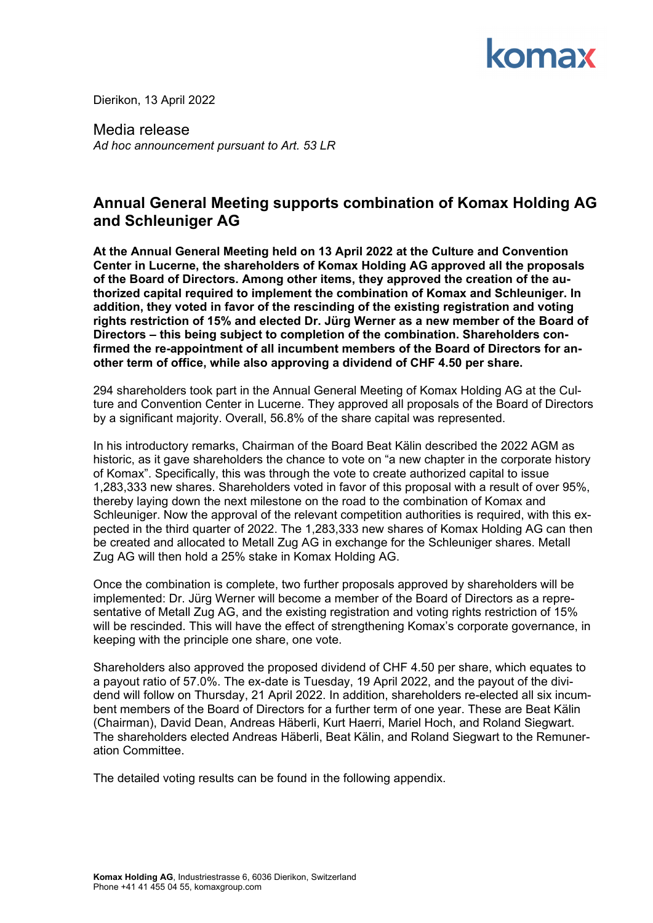

Dierikon, 13 April 2022

Media release *Ad hoc announcement pursuant to Art. 53 LR* 

### **Annual General Meeting supports combination of Komax Holding AG and Schleuniger AG**

**At the Annual General Meeting held on 13 April 2022 at the Culture and Convention Center in Lucerne, the shareholders of Komax Holding AG approved all the proposals of the Board of Directors. Among other items, they approved the creation of the authorized capital required to implement the combination of Komax and Schleuniger. In addition, they voted in favor of the rescinding of the existing registration and voting rights restriction of 15% and elected Dr. Jürg Werner as a new member of the Board of Directors – this being subject to completion of the combination. Shareholders confirmed the re-appointment of all incumbent members of the Board of Directors for another term of office, while also approving a dividend of CHF 4.50 per share.** 

294 shareholders took part in the Annual General Meeting of Komax Holding AG at the Culture and Convention Center in Lucerne. They approved all proposals of the Board of Directors by a significant majority. Overall, 56.8% of the share capital was represented.

In his introductory remarks, Chairman of the Board Beat Kälin described the 2022 AGM as historic, as it gave shareholders the chance to vote on "a new chapter in the corporate history of Komax". Specifically, this was through the vote to create authorized capital to issue 1,283,333 new shares. Shareholders voted in favor of this proposal with a result of over 95%, thereby laying down the next milestone on the road to the combination of Komax and Schleuniger. Now the approval of the relevant competition authorities is required, with this expected in the third quarter of 2022. The 1,283,333 new shares of Komax Holding AG can then be created and allocated to Metall Zug AG in exchange for the Schleuniger shares. Metall Zug AG will then hold a 25% stake in Komax Holding AG.

Once the combination is complete, two further proposals approved by shareholders will be implemented: Dr. Jürg Werner will become a member of the Board of Directors as a representative of Metall Zug AG, and the existing registration and voting rights restriction of 15% will be rescinded. This will have the effect of strengthening Komax's corporate governance, in keeping with the principle one share, one vote.

Shareholders also approved the proposed dividend of CHF 4.50 per share, which equates to a payout ratio of 57.0%. The ex-date is Tuesday, 19 April 2022, and the payout of the dividend will follow on Thursday, 21 April 2022. In addition, shareholders re-elected all six incumbent members of the Board of Directors for a further term of one year. These are Beat Kälin (Chairman), David Dean, Andreas Häberli, Kurt Haerri, Mariel Hoch, and Roland Siegwart. The shareholders elected Andreas Häberli, Beat Kälin, and Roland Siegwart to the Remuneration Committee.

The detailed voting results can be found in the following appendix.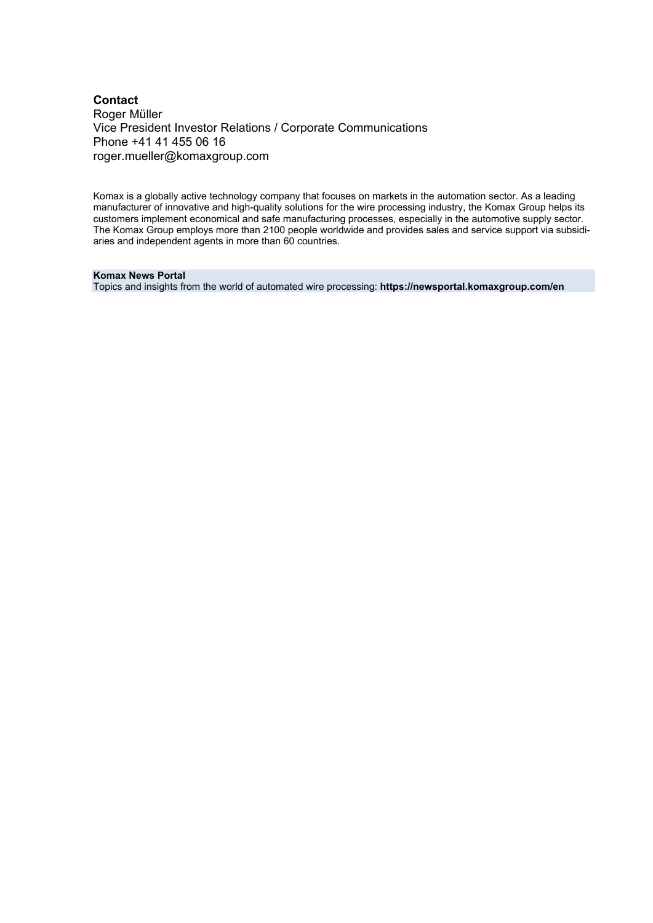#### **Contact** Roger Müller Vice President Investor Relations / Corporate Communications Phone +41 41 455 06 16 roger.mueller@komaxgroup.com

Komax is a globally active technology company that focuses on markets in the automation sector. As a leading manufacturer of innovative and high-quality solutions for the wire processing industry, the Komax Group helps its customers implement economical and safe manufacturing processes, especially in the automotive supply sector. The Komax Group employs more than 2100 people worldwide and provides sales and service support via subsidiaries and independent agents in more than 60 countries.

#### **Komax News Portal**

Topics and insights from the world of automated wire processing: **https://newsportal.komaxgroup.com/en**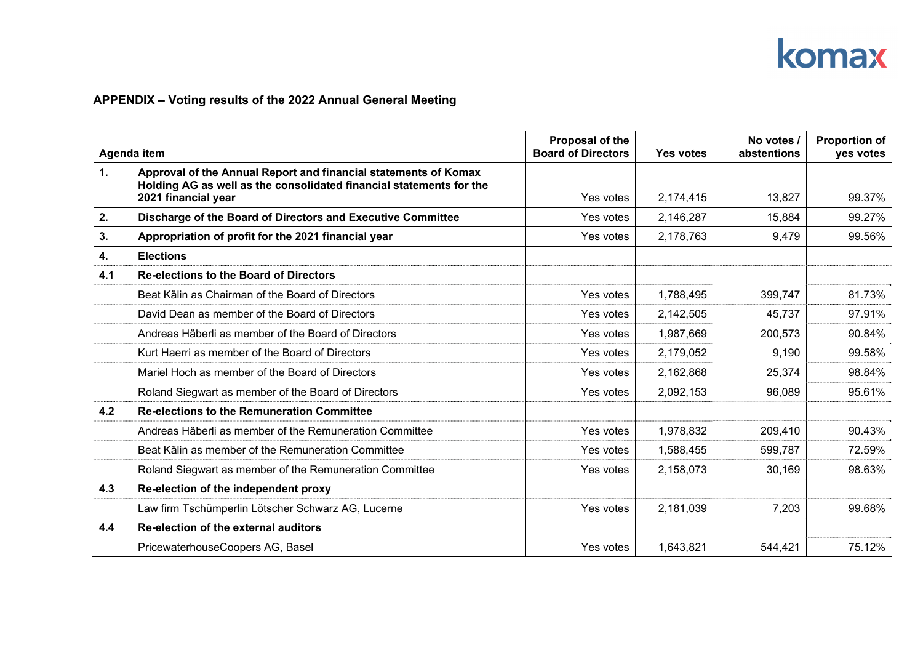# komax

### **APPENDIX – Voting results of the 2022 Annual General Meeting**

| Agenda item    |                                                                                                                                                               | Proposal of the<br><b>Board of Directors</b> | Yes votes | No votes /<br>abstentions | <b>Proportion of</b><br>yes votes |
|----------------|---------------------------------------------------------------------------------------------------------------------------------------------------------------|----------------------------------------------|-----------|---------------------------|-----------------------------------|
| $\mathbf{1}$ . | Approval of the Annual Report and financial statements of Komax<br>Holding AG as well as the consolidated financial statements for the<br>2021 financial year | Yes votes                                    | 2,174,415 | 13,827                    | 99.37%                            |
| 2.             | Discharge of the Board of Directors and Executive Committee                                                                                                   | Yes votes                                    | 2,146,287 | 15,884                    | 99.27%                            |
| 3.             | Appropriation of profit for the 2021 financial year                                                                                                           | Yes votes                                    | 2,178,763 | 9,479                     | 99.56%                            |
| 4.             | <b>Elections</b>                                                                                                                                              |                                              |           |                           |                                   |
| 4.1            | <b>Re-elections to the Board of Directors</b>                                                                                                                 |                                              |           |                           |                                   |
|                | Beat Kälin as Chairman of the Board of Directors                                                                                                              | Yes votes                                    | 1,788,495 | 399,747                   | 81.73%                            |
|                | David Dean as member of the Board of Directors                                                                                                                | Yes votes                                    | 2,142,505 | 45,737                    | 97.91%                            |
|                | Andreas Häberli as member of the Board of Directors                                                                                                           | Yes votes                                    | 1,987,669 | 200,573                   | 90.84%                            |
|                | Kurt Haerri as member of the Board of Directors                                                                                                               | Yes votes                                    | 2,179,052 | 9,190                     | 99.58%                            |
|                | Mariel Hoch as member of the Board of Directors                                                                                                               | Yes votes                                    | 2,162,868 | 25,374                    | 98.84%                            |
|                | Roland Siegwart as member of the Board of Directors                                                                                                           | Yes votes                                    | 2,092,153 | 96,089                    | 95.61%                            |
| 4.2            | <b>Re-elections to the Remuneration Committee</b>                                                                                                             |                                              |           |                           |                                   |
|                | Andreas Häberli as member of the Remuneration Committee                                                                                                       | Yes votes                                    | 1,978,832 | 209,410                   | 90.43%                            |
|                | Beat Kälin as member of the Remuneration Committee                                                                                                            | Yes votes                                    | 1,588,455 | 599,787                   | 72.59%                            |
|                | Roland Siegwart as member of the Remuneration Committee                                                                                                       | Yes votes                                    | 2,158,073 | 30,169                    | 98.63%                            |
| 4.3            | Re-election of the independent proxy                                                                                                                          |                                              |           |                           |                                   |
|                | Law firm Tschümperlin Lötscher Schwarz AG, Lucerne                                                                                                            | Yes votes                                    | 2,181,039 | 7,203                     | 99.68%                            |
| 4.4            | Re-election of the external auditors                                                                                                                          |                                              |           |                           |                                   |
|                | PricewaterhouseCoopers AG, Basel                                                                                                                              | Yes votes                                    | 1,643,821 | 544,421                   | 75.12%                            |